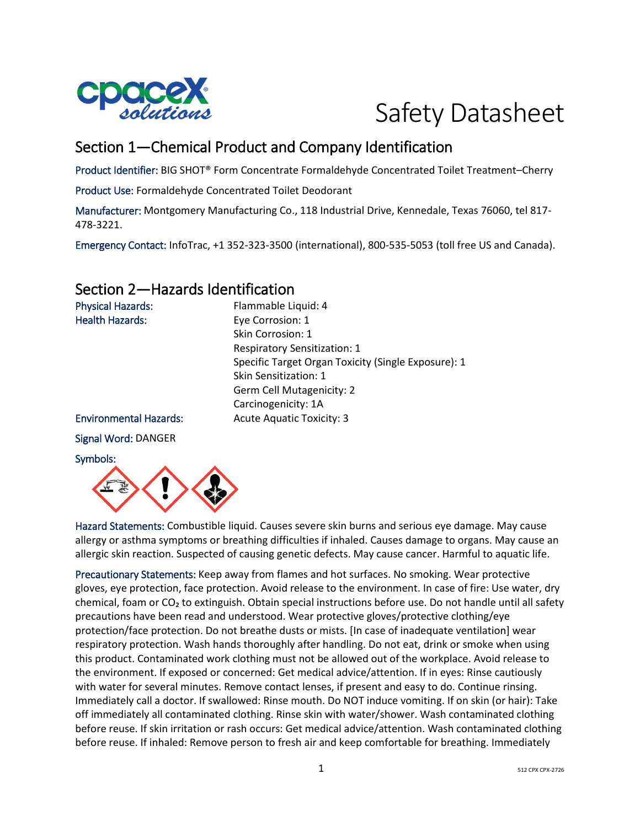

# Safety Datasheet

# Section 1—Chemical Product and Company Identification

Product Identifier: BIG SHOT® Form Concentrate Formaldehyde Concentrated Toilet Treatment–Cherry

Product Use: Formaldehyde Concentrated Toilet Deodorant

Manufacturer: Montgomery Manufacturing Co., 118 Industrial Drive, Kennedale, Texas 76060, tel 817- 478-3221.

Emergency Contact: InfoTrac, +1 352-323-3500 (international), 800-535-5053 (toll free US and Canada).

# Section 2—Hazards Identification

| <b>Physical Hazards:</b>      | Flammable Liquid: 4                                 |
|-------------------------------|-----------------------------------------------------|
| <b>Health Hazards:</b>        | Eye Corrosion: 1                                    |
|                               | Skin Corrosion: 1                                   |
|                               | <b>Respiratory Sensitization: 1</b>                 |
|                               | Specific Target Organ Toxicity (Single Exposure): 1 |
|                               | Skin Sensitization: 1                               |
|                               | Germ Cell Mutagenicity: 2                           |
|                               | Carcinogenicity: 1A                                 |
| <b>Environmental Hazards:</b> | <b>Acute Aquatic Toxicity: 3</b>                    |
| Signal Word: DANGER           |                                                     |
| Symbols:                      |                                                     |



Hazard Statements: Combustible liquid. Causes severe skin burns and serious eye damage. May cause allergy or asthma symptoms or breathing difficulties if inhaled. Causes damage to organs. May cause an allergic skin reaction. Suspected of causing genetic defects. May cause cancer. Harmful to aquatic life.

Precautionary Statements: Keep away from flames and hot surfaces. No smoking. Wear protective gloves, eye protection, face protection. Avoid release to the environment. In case of fire: Use water, dry chemical, foam or CO<sub>2</sub> to extinguish. Obtain special instructions before use. Do not handle until all safety precautions have been read and understood. Wear protective gloves/protective clothing/eye protection/face protection. Do not breathe dusts or mists. [In case of inadequate ventilation] wear respiratory protection. Wash hands thoroughly after handling. Do not eat, drink or smoke when using this product. Contaminated work clothing must not be allowed out of the workplace. Avoid release to the environment. If exposed or concerned: Get medical advice/attention. If in eyes: Rinse cautiously with water for several minutes. Remove contact lenses, if present and easy to do. Continue rinsing. Immediately call a doctor. If swallowed: Rinse mouth. Do NOT induce vomiting. If on skin (or hair): Take off immediately all contaminated clothing. Rinse skin with water/shower. Wash contaminated clothing before reuse. If skin irritation or rash occurs: Get medical advice/attention. Wash contaminated clothing before reuse. If inhaled: Remove person to fresh air and keep comfortable for breathing. Immediately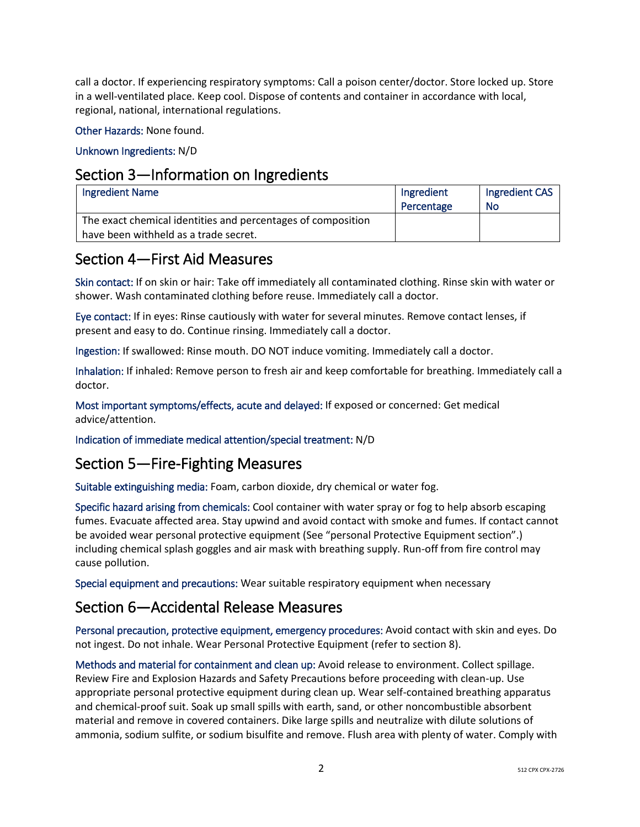call a doctor. If experiencing respiratory symptoms: Call a poison center/doctor. Store locked up. Store in a well-ventilated place. Keep cool. Dispose of contents and container in accordance with local, regional, national, international regulations.

Other Hazards: None found.

Unknown Ingredients: N/D

### Section 3—Information on Ingredients

| Ingredient Name                                              | Ingredient<br>Percentage | Ingredient CAS<br>No |
|--------------------------------------------------------------|--------------------------|----------------------|
| The exact chemical identities and percentages of composition |                          |                      |
| have been withheld as a trade secret.                        |                          |                      |

### Section 4—First Aid Measures

Skin contact: If on skin or hair: Take off immediately all contaminated clothing. Rinse skin with water or shower. Wash contaminated clothing before reuse. Immediately call a doctor.

Eye contact: If in eyes: Rinse cautiously with water for several minutes. Remove contact lenses, if present and easy to do. Continue rinsing. Immediately call a doctor.

Ingestion: If swallowed: Rinse mouth. DO NOT induce vomiting. Immediately call a doctor.

Inhalation: If inhaled: Remove person to fresh air and keep comfortable for breathing. Immediately call a doctor.

Most important symptoms/effects, acute and delayed: If exposed or concerned: Get medical advice/attention.

Indication of immediate medical attention/special treatment: N/D

# Section 5—Fire-Fighting Measures

Suitable extinguishing media: Foam, carbon dioxide, dry chemical or water fog.

Specific hazard arising from chemicals: Cool container with water spray or fog to help absorb escaping fumes. Evacuate affected area. Stay upwind and avoid contact with smoke and fumes. If contact cannot be avoided wear personal protective equipment (See "personal Protective Equipment section".) including chemical splash goggles and air mask with breathing supply. Run-off from fire control may cause pollution.

Special equipment and precautions: Wear suitable respiratory equipment when necessary

# Section 6—Accidental Release Measures

Personal precaution, protective equipment, emergency procedures: Avoid contact with skin and eyes. Do not ingest. Do not inhale. Wear Personal Protective Equipment (refer to section 8).

Methods and material for containment and clean up: Avoid release to environment. Collect spillage. Review Fire and Explosion Hazards and Safety Precautions before proceeding with clean-up. Use appropriate personal protective equipment during clean up. Wear self-contained breathing apparatus and chemical-proof suit. Soak up small spills with earth, sand, or other noncombustible absorbent material and remove in covered containers. Dike large spills and neutralize with dilute solutions of ammonia, sodium sulfite, or sodium bisulfite and remove. Flush area with plenty of water. Comply with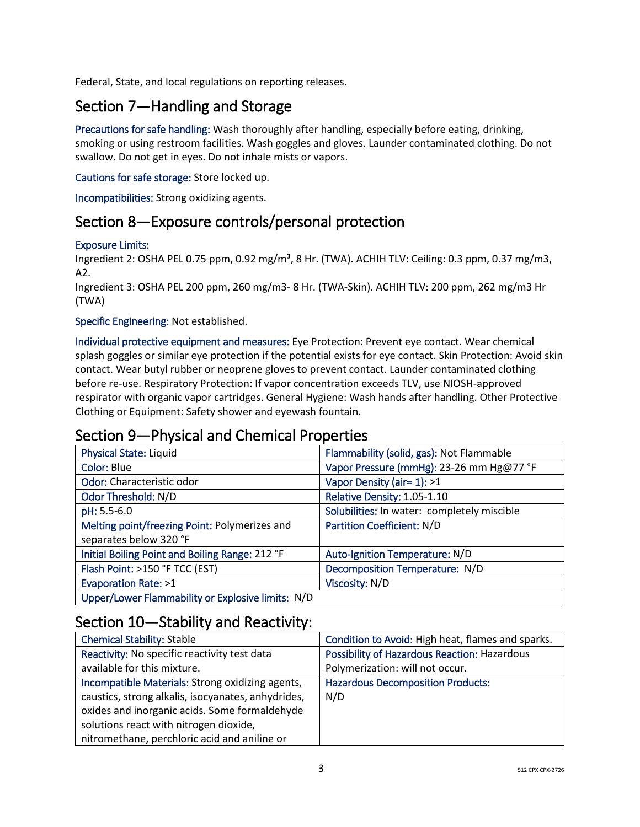Federal, State, and local regulations on reporting releases.

# Section 7—Handling and Storage

Precautions for safe handling: Wash thoroughly after handling, especially before eating, drinking, smoking or using restroom facilities. Wash goggles and gloves. Launder contaminated clothing. Do not swallow. Do not get in eyes. Do not inhale mists or vapors.

### Cautions for safe storage: Store locked up.

Incompatibilities: Strong oxidizing agents.

# Section 8—Exposure controls/personal protection

### Exposure Limits:

Ingredient 2: OSHA PEL 0.75 ppm, 0.92 mg/m<sup>3</sup>, 8 Hr. (TWA). ACHIH TLV: Ceiling: 0.3 ppm, 0.37 mg/m3, A2.

Ingredient 3: OSHA PEL 200 ppm, 260 mg/m3- 8 Hr. (TWA-Skin). ACHIH TLV: 200 ppm, 262 mg/m3 Hr (TWA)

### Specific Engineering: Not established.

Individual protective equipment and measures: Eye Protection: Prevent eye contact. Wear chemical splash goggles or similar eye protection if the potential exists for eye contact. Skin Protection: Avoid skin contact. Wear butyl rubber or neoprene gloves to prevent contact. Launder contaminated clothing before re-use. Respiratory Protection: If vapor concentration exceeds TLV, use NIOSH-approved respirator with organic vapor cartridges. General Hygiene: Wash hands after handling. Other Protective Clothing or Equipment: Safety shower and eyewash fountain.

# Section 9—Physical and Chemical Properties

| <b>Physical State: Liquid</b>                     | Flammability (solid, gas): Not Flammable    |
|---------------------------------------------------|---------------------------------------------|
| Color: Blue                                       | Vapor Pressure (mmHg): 23-26 mm Hg@77 °F    |
| Odor: Characteristic odor                         | Vapor Density (air= 1): >1                  |
| Odor Threshold: N/D                               | Relative Density: 1.05-1.10                 |
| pH: 5.5-6.0                                       | Solubilities: In water: completely miscible |
| Melting point/freezing Point: Polymerizes and     | <b>Partition Coefficient: N/D</b>           |
| separates below 320 °F                            |                                             |
| Initial Boiling Point and Boiling Range: 212 °F   | Auto-Ignition Temperature: N/D              |
| Flash Point: >150 °F TCC (EST)                    | Decomposition Temperature: N/D              |
| Evaporation Rate: >1                              | Viscosity: N/D                              |
| Upper/Lower Flammability or Explosive limits: N/D |                                             |

### Section 10—Stability and Reactivity:

| <b>Chemical Stability: Stable</b>                  | Condition to Avoid: High heat, flames and sparks. |
|----------------------------------------------------|---------------------------------------------------|
| Reactivity: No specific reactivity test data       | Possibility of Hazardous Reaction: Hazardous      |
| available for this mixture.                        | Polymerization: will not occur.                   |
| Incompatible Materials: Strong oxidizing agents,   | <b>Hazardous Decomposition Products:</b>          |
| caustics, strong alkalis, isocyanates, anhydrides, | N/D                                               |
| oxides and inorganic acids. Some formaldehyde      |                                                   |
| solutions react with nitrogen dioxide,             |                                                   |
| nitromethane, perchloric acid and aniline or       |                                                   |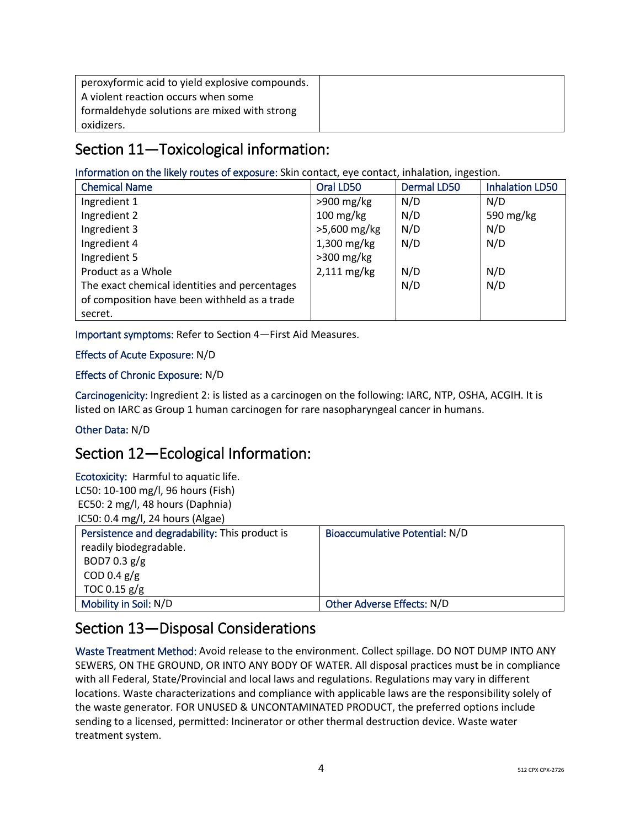| peroxyformic acid to yield explosive compounds. |  |
|-------------------------------------------------|--|
| A violent reaction occurs when some             |  |
| formaldehyde solutions are mixed with strong    |  |
| oxidizers.                                      |  |

# Section 11—Toxicological information:

### Information on the likely routes of exposure: Skin contact, eye contact, inhalation, ingestion.

| <b>Chemical Name</b>                          | Oral LD50              | Dermal LD50 | <b>Inhalation LD50</b> |
|-----------------------------------------------|------------------------|-------------|------------------------|
| Ingredient 1                                  | $>900$ mg/kg           | N/D         | N/D                    |
| Ingredient 2                                  | $100 \,\mathrm{mg/kg}$ | N/D         | 590 mg/kg              |
| Ingredient 3                                  | >5,600 mg/kg           | N/D         | N/D                    |
| Ingredient 4                                  | $1,300$ mg/kg          | N/D         | N/D                    |
| Ingredient 5                                  | $>300$ mg/kg           |             |                        |
| Product as a Whole                            | 2,111 mg/kg            | N/D         | N/D                    |
| The exact chemical identities and percentages |                        | N/D         | N/D                    |
| of composition have been withheld as a trade  |                        |             |                        |
| secret.                                       |                        |             |                        |

Important symptoms: Refer to Section 4—First Aid Measures.

### Effects of Acute Exposure: N/D

### Effects of Chronic Exposure: N/D

Carcinogenicity: Ingredient 2: is listed as a carcinogen on the following: IARC, NTP, OSHA, ACGIH. It is listed on IARC as Group 1 human carcinogen for rare nasopharyngeal cancer in humans.

### Other Data: N/D

# Section 12—Ecological Information:

Ecotoxicity: Harmful to aquatic life. LC50: 10-100 mg/l, 96 hours (Fish) EC50: 2 mg/l, 48 hours (Daphnia) IC50: 0.4 mg/l, 24 hours (Algae)

| Persistence and degradability: This product is | Bioaccumulative Potential: N/D |
|------------------------------------------------|--------------------------------|
| readily biodegradable.                         |                                |
| BOD7 0.3 $g/g$                                 |                                |
| COD 0.4 $g/g$                                  |                                |
| TOC 0.15 $g/g$                                 |                                |
| Mobility in Soil: N/D                          | Other Adverse Effects: N/D     |

# Section 13—Disposal Considerations

Waste Treatment Method: Avoid release to the environment. Collect spillage. DO NOT DUMP INTO ANY SEWERS, ON THE GROUND, OR INTO ANY BODY OF WATER. All disposal practices must be in compliance with all Federal, State/Provincial and local laws and regulations. Regulations may vary in different locations. Waste characterizations and compliance with applicable laws are the responsibility solely of the waste generator. FOR UNUSED & UNCONTAMINATED PRODUCT, the preferred options include sending to a licensed, permitted: Incinerator or other thermal destruction device. Waste water treatment system.